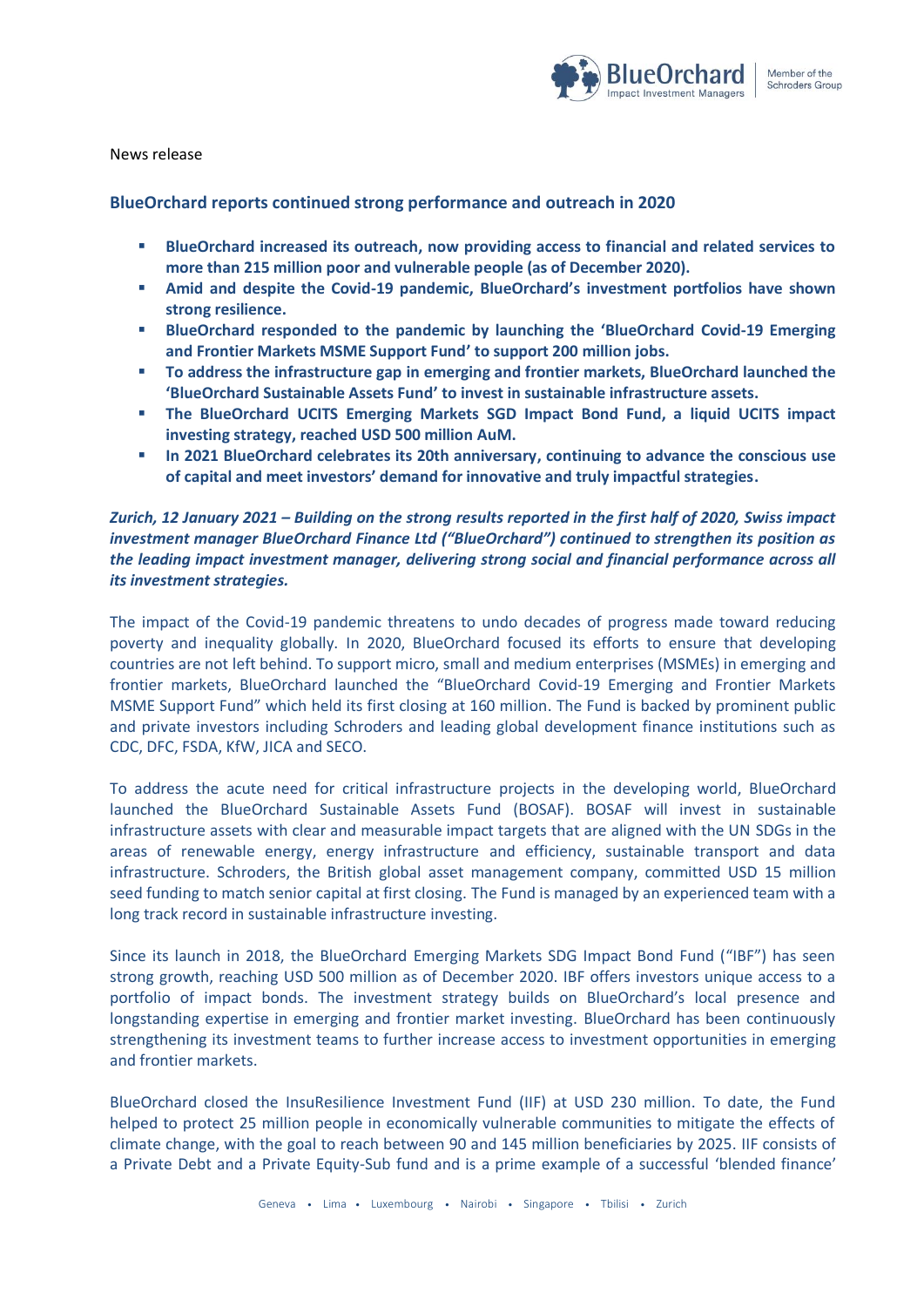

News release

# **BlueOrchard reports continued strong performance and outreach in 2020**

- **BlueOrchard increased its outreach, now providing access to financial and related services to more than 215 million poor and vulnerable people (as of December 2020).**
- **Amid and despite the Covid-19 pandemic, BlueOrchard's investment portfolios have shown strong resilience.**
- **BlueOrchard responded to the pandemic by launching the 'BlueOrchard Covid-19 Emerging and Frontier Markets MSME Support Fund' to support 200 million jobs.**
- **To address the infrastructure gap in emerging and frontier markets, BlueOrchard launched the 'BlueOrchard Sustainable Assets Fund' to invest in sustainable infrastructure assets.**
- **The BlueOrchard UCITS Emerging Markets SGD Impact Bond Fund, a liquid UCITS impact investing strategy, reached USD 500 million AuM.**
- **In 2021 BlueOrchard celebrates its 20th anniversary, continuing to advance the conscious use of capital and meet investors' demand for innovative and truly impactful strategies.**

# *Zurich, 12 January 2021 – Building on the strong results reported in the first half of 2020, Swiss impact investment manager BlueOrchard Finance Ltd ("BlueOrchard") continued to strengthen its position as the leading impact investment manager, delivering strong social and financial performance across all its investment strategies.*

The impact of the Covid-19 pandemic threatens to undo decades of progress made toward reducing poverty and inequality globally. In 2020, BlueOrchard focused its efforts to ensure that developing countries are not left behind. To support micro, small and medium enterprises (MSMEs) in emerging and frontier markets, BlueOrchard launched the "BlueOrchard Covid-19 Emerging and Frontier Markets MSME Support Fund" which held its first closing at 160 million. The Fund is backed by prominent public and private investors including Schroders and leading global development finance institutions such as CDC, DFC, FSDA, KfW, JICA and SECO.

To address the acute need for critical infrastructure projects in the developing world, BlueOrchard launched the BlueOrchard Sustainable Assets Fund (BOSAF). BOSAF will invest in sustainable infrastructure assets with clear and measurable impact targets that are aligned with the UN SDGs in the areas of renewable energy, energy infrastructure and efficiency, sustainable transport and data infrastructure. Schroders, the British global asset management company, committed USD 15 million seed funding to match senior capital at first closing. The Fund is managed by an experienced team with a long track record in sustainable infrastructure investing.

Since its launch in 2018, the BlueOrchard Emerging Markets SDG Impact Bond Fund ("IBF") has seen strong growth, reaching USD 500 million as of December 2020. IBF offers investors unique access to a portfolio of impact bonds. The investment strategy builds on BlueOrchard's local presence and longstanding expertise in emerging and frontier market investing. BlueOrchard has been continuously strengthening its investment teams to further increase access to investment opportunities in emerging and frontier markets.

BlueOrchard closed the InsuResilience Investment Fund (IIF) at USD 230 million. To date, the Fund helped to protect 25 million people in economically vulnerable communities to mitigate the effects of climate change, with the goal to reach between 90 and 145 million beneficiaries by 2025. IIF consists of a Private Debt and a Private Equity-Sub fund and is a prime example of a successful 'blended finance'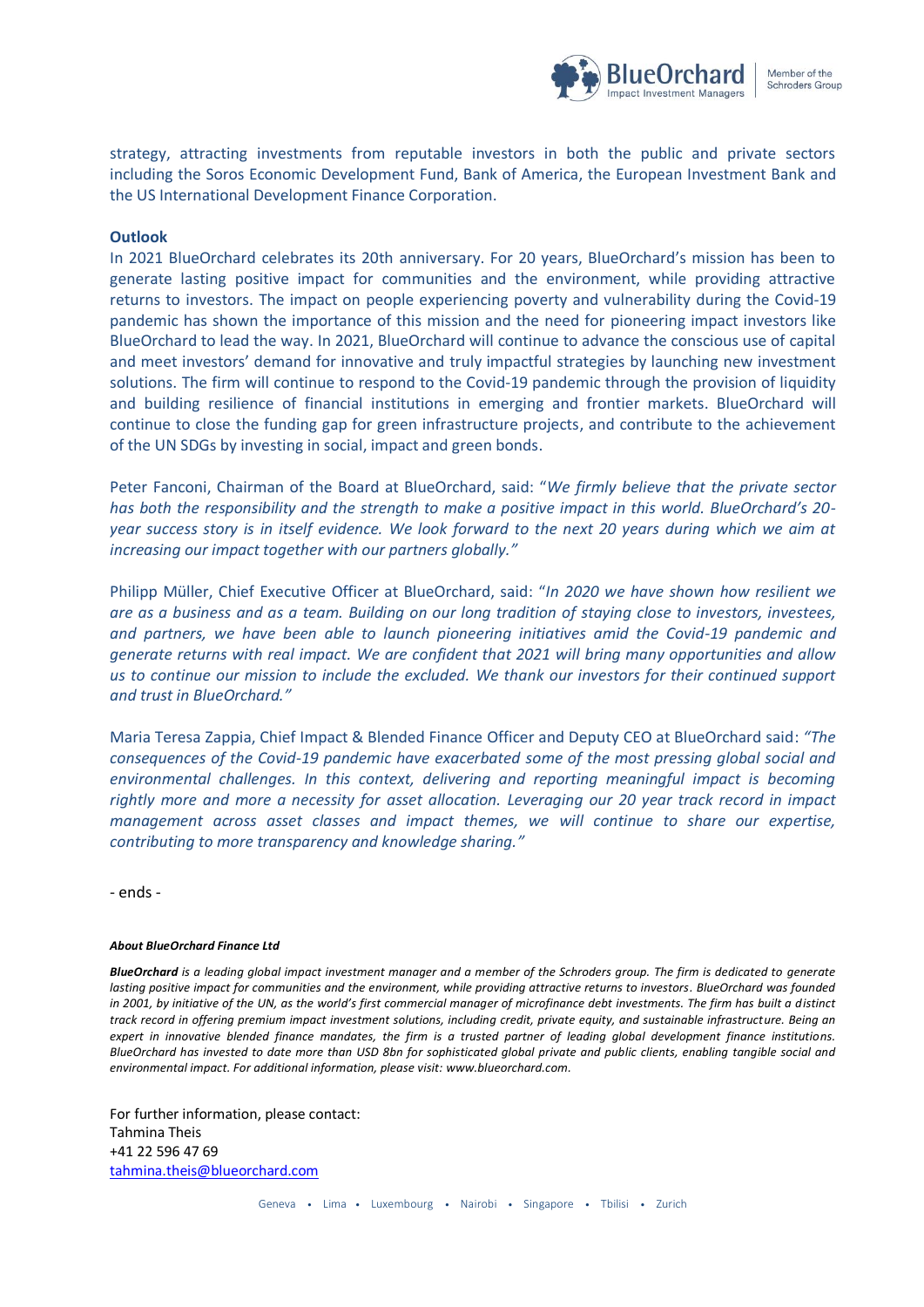

strategy, attracting investments from reputable investors in both the public and private sectors including the Soros Economic Development Fund, Bank of America, the European Investment Bank and the US International Development Finance Corporation.

## **Outlook**

In 2021 BlueOrchard celebrates its 20th anniversary. For 20 years, BlueOrchard's mission has been to generate lasting positive impact for communities and the environment, while providing attractive returns to investors. The impact on people experiencing poverty and vulnerability during the Covid-19 pandemic has shown the importance of this mission and the need for pioneering impact investors like BlueOrchard to lead the way. In 2021, BlueOrchard will continue to advance the conscious use of capital and meet investors' demand for innovative and truly impactful strategies by launching new investment solutions. The firm will continue to respond to the Covid-19 pandemic through the provision of liquidity and building resilience of financial institutions in emerging and frontier markets. BlueOrchard will continue to close the funding gap for green infrastructure projects, and contribute to the achievement of the UN SDGs by investing in social, impact and green bonds.

Peter Fanconi, Chairman of the Board at BlueOrchard, said: "*We firmly believe that the private sector has both the responsibility and the strength to make a positive impact in this world. BlueOrchard's 20 year success story is in itself evidence. We look forward to the next 20 years during which we aim at increasing our impact together with our partners globally."*

Philipp Müller, Chief Executive Officer at BlueOrchard, said: "*In 2020 we have shown how resilient we are as a business and as a team. Building on our long tradition of staying close to investors, investees, and partners, we have been able to launch pioneering initiatives amid the Covid-19 pandemic and generate returns with real impact. We are confident that 2021 will bring many opportunities and allow us to continue our mission to include the excluded. We thank our investors for their continued support and trust in BlueOrchard."*

Maria Teresa Zappia, Chief Impact & Blended Finance Officer and Deputy CEO at BlueOrchard said: *"The consequences of the Covid-19 pandemic have exacerbated some of the most pressing global social and environmental challenges. In this context, delivering and reporting meaningful impact is becoming rightly more and more a necessity for asset allocation. Leveraging our 20 year track record in impact management across asset classes and impact themes, we will continue to share our expertise, contributing to more transparency and knowledge sharing."*

- ends -

### *About BlueOrchard Finance Ltd*

*BlueOrchard is a leading global impact investment manager and a member of the Schroders group. The firm is dedicated to generate*  lasting positive impact for communities and the environment, while providing attractive returns to investors. BlueOrchard was founded in 2001, by initiative of the UN, as the world's first commercial manager of microfinance debt investments. The firm has built a distinct *track record in offering premium impact investment solutions, including credit, private equity, and sustainable infrastructure. Being an expert in innovative blended finance mandates, the firm is a trusted partner of leading global development finance institutions. BlueOrchard has invested to date more than USD 8bn for sophisticated global private and public clients, enabling tangible social and environmental impact. For additional information, please visit[: www.blueorchard.com.](http://www.blueorchard.com/)*

For further information, please contact: Tahmina Theis +41 22 596 47 69 [tahmina.theis@blueorchard.com](mailto:kathryn.sutton@blueorchard.com)